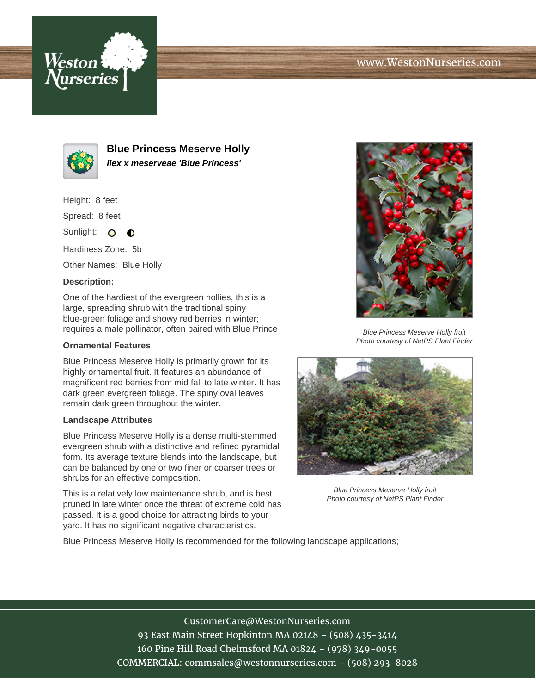



**Blue Princess Meserve Holly Ilex x meserveae 'Blue Princess'**

Height: 8 feet

Spread: 8 feet

Sunlight: O **O** 

Hardiness Zone: 5b

Other Names: Blue Holly

## **Description:**

One of the hardiest of the evergreen hollies, this is a large, spreading shrub with the traditional spiny blue-green foliage and showy red berries in winter; requires a male pollinator, often paired with Blue Prince

## **Ornamental Features**

Blue Princess Meserve Holly is primarily grown for its highly ornamental fruit. It features an abundance of magnificent red berries from mid fall to late winter. It has dark green evergreen foliage. The spiny oval leaves remain dark green throughout the winter.

## **Landscape Attributes**

Blue Princess Meserve Holly is a dense multi-stemmed evergreen shrub with a distinctive and refined pyramidal form. Its average texture blends into the landscape, but can be balanced by one or two finer or coarser trees or shrubs for an effective composition.

This is a relatively low maintenance shrub, and is best pruned in late winter once the threat of extreme cold has passed. It is a good choice for attracting birds to your yard. It has no significant negative characteristics.



Blue Princess Meserve Holly fruit Photo courtesy of NetPS Plant Finder



Blue Princess Meserve Holly fruit Photo courtesy of NetPS Plant Finder

Blue Princess Meserve Holly is recommended for the following landscape applications;

CustomerCare@WestonNurseries.com 93 East Main Street Hopkinton MA 02148 - (508) 435-3414 160 Pine Hill Road Chelmsford MA 01824 - (978) 349-0055 COMMERCIAL: commsales@westonnurseries.com - (508) 293-8028